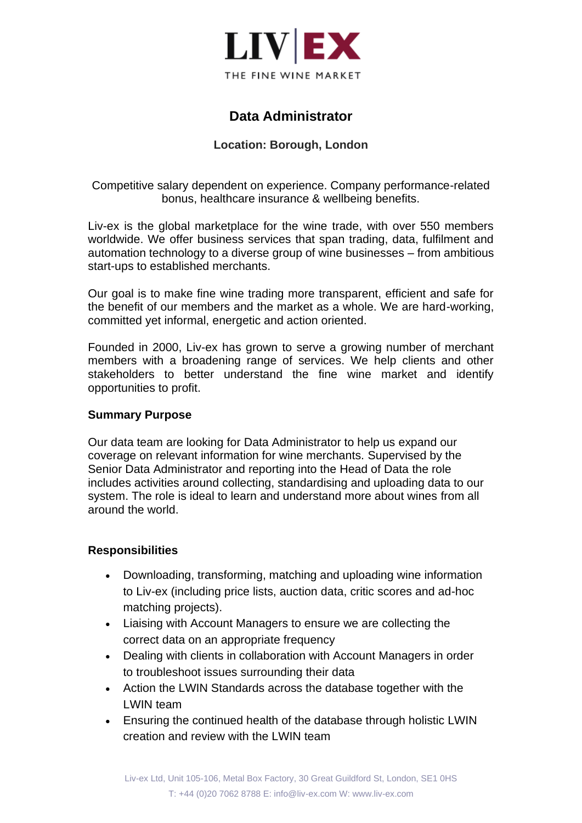

# **Data Administrator**

### **Location: Borough, London**

Competitive salary dependent on experience. Company performance-related bonus, healthcare insurance & wellbeing benefits.

Liv-ex is the global marketplace for the wine trade, with over 550 members worldwide. We offer business services that span trading, data, fulfilment and automation technology to a diverse group of wine businesses – from ambitious start-ups to established merchants.

Our goal is to make fine wine trading more transparent, efficient and safe for the benefit of our members and the market as a whole. We are hard-working, committed yet informal, energetic and action oriented.

Founded in 2000, Liv-ex has grown to serve a growing number of merchant members with a broadening range of services. We help clients and other stakeholders to better understand the fine wine market and identify opportunities to profit.

#### **Summary Purpose**

Our data team are looking for Data Administrator to help us expand our coverage on relevant information for wine merchants. Supervised by the Senior Data Administrator and reporting into the Head of Data the role includes activities around collecting, standardising and uploading data to our system. The role is ideal to learn and understand more about wines from all around the world.

#### **Responsibilities**

- Downloading, transforming, matching and uploading wine information to Liv-ex (including price lists, auction data, critic scores and ad-hoc matching projects).
- Liaising with Account Managers to ensure we are collecting the correct data on an appropriate frequency
- Dealing with clients in collaboration with Account Managers in order to troubleshoot issues surrounding their data
- Action the LWIN Standards across the database together with the LWIN team
- Ensuring the continued health of the database through holistic LWIN creation and review with the LWIN team